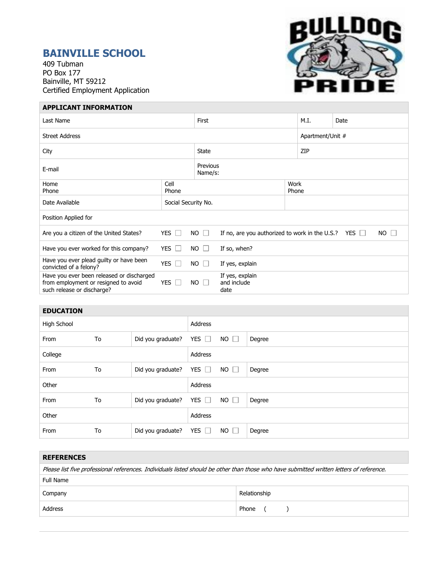# **BAINVILLE SCHOOL**

409 Tubman PO Box 177 Bainville, MT 59212 Certified Employment Application



| <b>APPLICANT INFORMATION</b>                                                                                    |                     |             |                                                                                     |                  |  |      |  |  |
|-----------------------------------------------------------------------------------------------------------------|---------------------|-------------|-------------------------------------------------------------------------------------|------------------|--|------|--|--|
| Last Name                                                                                                       |                     |             | First                                                                               |                  |  | Date |  |  |
| <b>Street Address</b>                                                                                           |                     |             |                                                                                     | Apartment/Unit # |  |      |  |  |
| City                                                                                                            |                     |             | State                                                                               |                  |  | ZIP  |  |  |
| E-mail                                                                                                          |                     |             | Previous<br>Name/s:                                                                 |                  |  |      |  |  |
| Home<br>Phone                                                                                                   | Cell<br>Phone       |             |                                                                                     | Work<br>Phone    |  |      |  |  |
| Date Available                                                                                                  | Social Security No. |             |                                                                                     |                  |  |      |  |  |
| Position Applied for                                                                                            |                     |             |                                                                                     |                  |  |      |  |  |
| YES $\Box$<br>Are you a citizen of the United States?                                                           |                     | $NO$ $\Box$ | <b>NO</b><br>If no, are you authorized to work in the U.S.?<br>YES $\Box$<br>$\Box$ |                  |  |      |  |  |
| Have you ever worked for this company?                                                                          | YES $\Box$          | $NO$ $\Box$ | If so, when?                                                                        |                  |  |      |  |  |
| Have you ever plead guilty or have been<br>convicted of a felony?                                               | YES $\Box$          | $NO$ $\Box$ | If yes, explain                                                                     |                  |  |      |  |  |
| Have you ever been released or discharged<br>from employment or resigned to avoid<br>such release or discharge? | YES $\Box$          | $NO$ $\Box$ | If yes, explain<br>and include<br>date                                              |                  |  |      |  |  |

# **EDUCATION**

| High School |    |                   | Address       |             |        |
|-------------|----|-------------------|---------------|-------------|--------|
| From        | To | Did you graduate? | YES $\Box$    | $NO$ $\Box$ | Degree |
| College     |    |                   | Address       |             |        |
| From        | To | Did you graduate? | YES $\square$ | $NO$ $\Box$ | Degree |
| Other       |    |                   | Address       |             |        |
| From        | To | Did you graduate? | YES $\Box$    | $NO$ $\Box$ | Degree |
| Other       |    |                   | Address       |             |        |
| From        | To | Did you graduate? | YES $\Box$    | $NO$ $\Box$ | Degree |

# **REFERENCES**

| Please list five professional references. Individuals listed should be other than those who have submitted written letters of reference. |              |  |  |  |
|------------------------------------------------------------------------------------------------------------------------------------------|--------------|--|--|--|
| Full Name                                                                                                                                |              |  |  |  |
| Company                                                                                                                                  | Relationship |  |  |  |
| Address                                                                                                                                  | Phone ()     |  |  |  |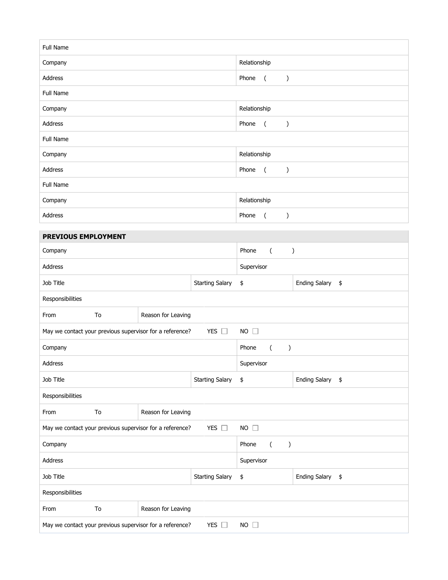| <b>Full Name</b>                                                                         |                          |                    |                                            |                  |                                 |                                          |  |
|------------------------------------------------------------------------------------------|--------------------------|--------------------|--------------------------------------------|------------------|---------------------------------|------------------------------------------|--|
| Company                                                                                  |                          |                    | Relationship                               |                  |                                 |                                          |  |
| Address                                                                                  |                          |                    | Phone                                      | $\overline{a}$   | $\mathcal{C}$                   |                                          |  |
| Full Name                                                                                |                          |                    |                                            |                  |                                 |                                          |  |
| Company                                                                                  |                          |                    |                                            | Relationship     |                                 |                                          |  |
| Address                                                                                  |                          |                    |                                            | Phone            | $\overline{ }$                  | $\big)$                                  |  |
| Full Name                                                                                |                          |                    |                                            |                  |                                 |                                          |  |
| Company                                                                                  |                          |                    |                                            | Relationship     |                                 |                                          |  |
| Address                                                                                  |                          |                    |                                            | Phone            | $\overline{a}$                  | $\mathcal{C}$                            |  |
| Full Name                                                                                |                          |                    |                                            |                  |                                 |                                          |  |
| Company                                                                                  |                          |                    | Relationship                               |                  |                                 |                                          |  |
| Address                                                                                  |                          |                    |                                            | Phone            | $\overline{a}$<br>$\mathcal{E}$ |                                          |  |
| PREVIOUS EMPLOYMENT                                                                      |                          |                    |                                            |                  |                                 |                                          |  |
| Company                                                                                  |                          |                    | Phone                                      | $\overline{(\ }$ | $\big)$                         |                                          |  |
| Address                                                                                  |                          |                    |                                            | Supervisor       |                                 |                                          |  |
| Job Title                                                                                |                          |                    | <b>Starting Salary</b>                     | \$               |                                 | Ending Salary \$                         |  |
| Responsibilities                                                                         |                          |                    |                                            |                  |                                 |                                          |  |
| From                                                                                     | Reason for Leaving<br>To |                    |                                            |                  |                                 |                                          |  |
| May we contact your previous supervisor for a reference?<br>YES $\square$<br>$NO$ $\Box$ |                          |                    |                                            |                  |                                 |                                          |  |
| Company                                                                                  |                          |                    | Phone<br>$\left($<br>$\mathcal{E}$         |                  |                                 |                                          |  |
| <b>Address</b>                                                                           |                          |                    | Supervisor                                 |                  |                                 |                                          |  |
| Job Title                                                                                |                          |                    | <b>Starting Salary</b>                     | \$               |                                 | <b>Ending Salary</b><br>$\pmb{\ddagger}$ |  |
| Responsibilities                                                                         |                          |                    |                                            |                  |                                 |                                          |  |
| From                                                                                     | To<br>Reason for Leaving |                    |                                            |                  |                                 |                                          |  |
| YES $\Box$<br>$NO$ $\Box$<br>May we contact your previous supervisor for a reference?    |                          |                    |                                            |                  |                                 |                                          |  |
| Company                                                                                  |                          |                    | Phone<br>$\overline{(\ }$<br>$\mathcal{E}$ |                  |                                 |                                          |  |
| Address                                                                                  |                          |                    | Supervisor                                 |                  |                                 |                                          |  |
| <b>Starting Salary</b><br>Job Title                                                      |                          |                    | \$                                         |                  | Ending Salary \$                |                                          |  |
| Responsibilities                                                                         |                          |                    |                                            |                  |                                 |                                          |  |
| From                                                                                     | To                       | Reason for Leaving |                                            |                  |                                 |                                          |  |
| YES $\square$<br>$NO$ $\Box$<br>May we contact your previous supervisor for a reference? |                          |                    |                                            |                  |                                 |                                          |  |